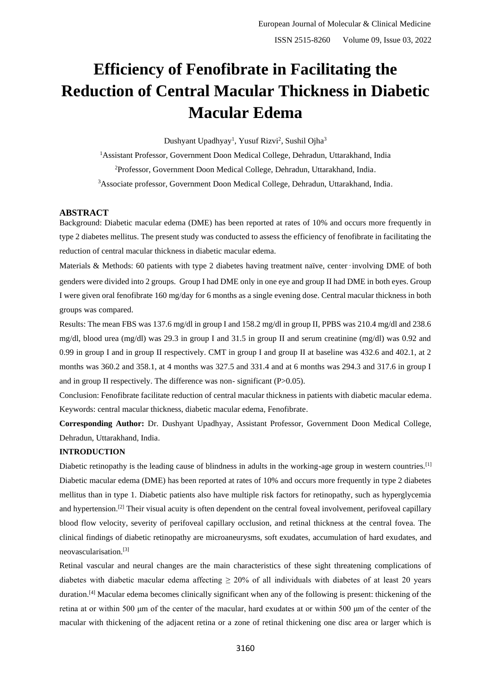# **Efficiency of Fenofibrate in Facilitating the Reduction of Central Macular Thickness in Diabetic Macular Edema**

Dushyant Upadhyay<sup>1</sup>, Yusuf Rizvi<sup>2</sup>, Sushil Ojha<sup>3</sup>

<sup>1</sup>Assistant Professor, Government Doon Medical College, Dehradun, Uttarakhand, India <sup>2</sup>Professor, Government Doon Medical College, Dehradun, Uttarakhand, India. <sup>3</sup>Associate professor, Government Doon Medical College, Dehradun, Uttarakhand, India.

# **ABSTRACT**

Background: Diabetic macular edema (DME) has been reported at rates of 10% and occurs more frequently in type 2 diabetes mellitus. The present study was conducted to assess the efficiency of fenofibrate in facilitating the reduction of central macular thickness in diabetic macular edema.

Materials & Methods: 60 patients with type 2 diabetes having treatment naïve, center–involving DME of both genders were divided into 2 groups. Group I had DME only in one eye and group II had DME in both eyes. Group I were given oral fenofibrate 160 mg/day for 6 months as a single evening dose. Central macular thickness in both groups was compared.

Results: The mean FBS was 137.6 mg/dl in group I and 158.2 mg/dl in group II, PPBS was 210.4 mg/dl and 238.6 mg/dl, blood urea (mg/dl) was 29.3 in group I and 31.5 in group II and serum creatinine (mg/dl) was 0.92 and 0.99 in group I and in group II respectively. CMT in group I and group II at baseline was 432.6 and 402.1, at 2 months was 360.2 and 358.1, at 4 months was 327.5 and 331.4 and at 6 months was 294.3 and 317.6 in group I and in group II respectively. The difference was non- significant (P>0.05).

Conclusion: Fenofibrate facilitate reduction of central macular thickness in patients with diabetic macular edema. Keywords: central macular thickness, diabetic macular edema, Fenofibrate.

**Corresponding Author:** Dr. Dushyant Upadhyay, Assistant Professor, Government Doon Medical College, Dehradun, Uttarakhand, India.

## **INTRODUCTION**

Diabetic retinopathy is the leading cause of blindness in adults in the working-age group in western countries.<sup>[1]</sup> Diabetic macular edema (DME) has been reported at rates of 10% and occurs more frequently in type 2 diabetes mellitus than in type 1. Diabetic patients also have multiple risk factors for retinopathy, such as hyperglycemia and hypertension.<sup>[2]</sup> Their visual acuity is often dependent on the central foveal involvement, perifoveal capillary blood flow velocity, severity of perifoveal capillary occlusion, and retinal thickness at the central fovea. The clinical findings of diabetic retinopathy are microaneurysms, soft exudates, accumulation of hard exudates, and neovascularisation.[3]

Retinal vascular and neural changes are the main characteristics of these sight threatening complications of diabetes with diabetic macular edema affecting  $\geq$  20% of all individuals with diabetes of at least 20 years duration.<sup>[4]</sup> Macular edema becomes clinically significant when any of the following is present: thickening of the retina at or within 500 μm of the center of the macular, hard exudates at or within 500 μm of the center of the macular with thickening of the adjacent retina or a zone of retinal thickening one disc area or larger which is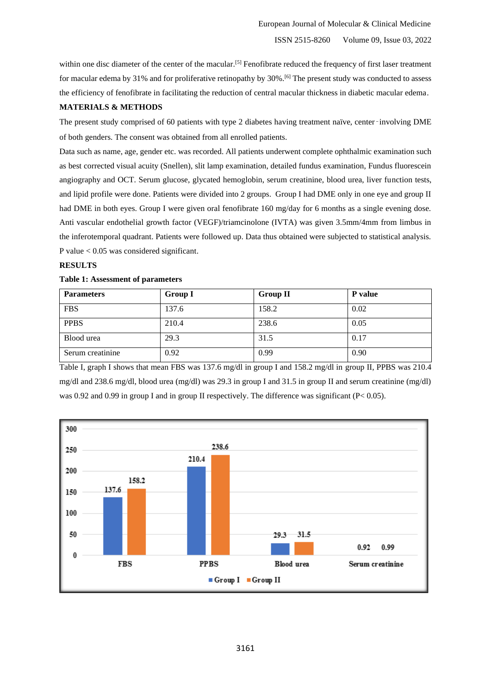within one disc diameter of the center of the macular.<sup>[5]</sup> Fenofibrate reduced the frequency of first laser treatment for macular edema by 31% and for proliferative retinopathy by 30%.[6] The present study was conducted to assess the efficiency of fenofibrate in facilitating the reduction of central macular thickness in diabetic macular edema.

# **MATERIALS & METHODS**

The present study comprised of 60 patients with type 2 diabetes having treatment naïve, center-involving DME of both genders. The consent was obtained from all enrolled patients.

Data such as name, age, gender etc. was recorded. All patients underwent complete ophthalmic examination such as best corrected visual acuity (Snellen), slit lamp examination, detailed fundus examination, Fundus fluorescein angiography and OCT. Serum glucose, glycated hemoglobin, serum creatinine, blood urea, liver function tests, and lipid profile were done. Patients were divided into 2 groups. Group I had DME only in one eye and group II had DME in both eyes. Group I were given oral fenofibrate 160 mg/day for 6 months as a single evening dose. Anti vascular endothelial growth factor (VEGF)/triamcinolone (IVTA) was given 3.5mm/4mm from limbus in the inferotemporal quadrant. Patients were followed up. Data thus obtained were subjected to statistical analysis. P value < 0.05 was considered significant.

## **RESULTS**

## **Table 1: Assessment of parameters**

| <b>Parameters</b> | <b>Group I</b> | <b>Group II</b> | P value |
|-------------------|----------------|-----------------|---------|
| <b>FBS</b>        | 137.6          | 158.2           | 0.02    |
| <b>PPBS</b>       | 210.4          | 238.6           | 0.05    |
| Blood urea        | 29.3           | 31.5            | 0.17    |
| Serum creatinine  | 0.92           | 0.99            | 0.90    |

Table I, graph I shows that mean FBS was 137.6 mg/dl in group I and 158.2 mg/dl in group II, PPBS was 210.4 mg/dl and 238.6 mg/dl, blood urea (mg/dl) was 29.3 in group I and 31.5 in group II and serum creatinine (mg/dl) was 0.92 and 0.99 in group I and in group II respectively. The difference was significant ( $P < 0.05$ ).

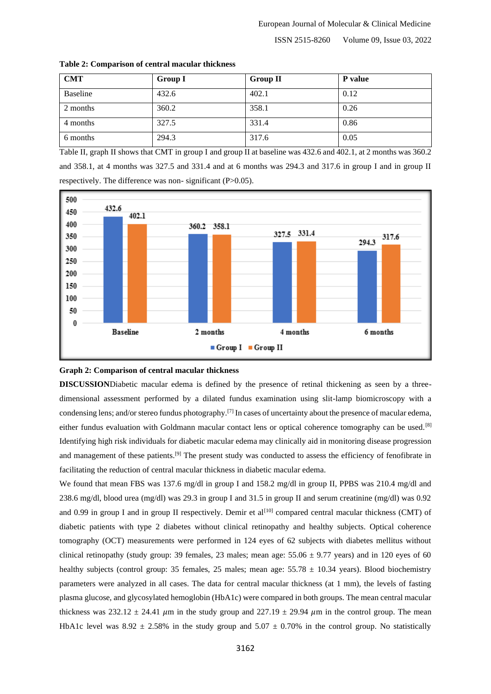ISSN 2515-8260 Volume 09, Issue 03, 2022

| <b>CMT</b> | <b>Group I</b> | <b>Group II</b> | P value |
|------------|----------------|-----------------|---------|
| Baseline   | 432.6          | 402.1           | 0.12    |
| 2 months   | 360.2          | 358.1           | 0.26    |
| 4 months   | 327.5          | 331.4           | 0.86    |
| 6 months   | 294.3          | 317.6           | 0.05    |

**Table 2: Comparison of central macular thickness**

Table II, graph II shows that CMT in group I and group II at baseline was 432.6 and 402.1, at 2 months was 360.2 and 358.1, at 4 months was 327.5 and 331.4 and at 6 months was 294.3 and 317.6 in group I and in group II respectively. The difference was non- significant (P>0.05).



#### **Graph 2: Comparison of central macular thickness**

**DISCUSSION**Diabetic macular edema is defined by the presence of retinal thickening as seen by a threedimensional assessment performed by a dilated fundus examination using slit-lamp biomicroscopy with a condensing lens; and/or stereo fundus photography.<sup>[7]</sup> In cases of uncertainty about the presence of macular edema, either fundus evaluation with Goldmann macular contact lens or optical coherence tomography can be used.<sup>[8]</sup> Identifying high risk individuals for diabetic macular edema may clinically aid in monitoring disease progression and management of these patients.<sup>[9]</sup> The present study was conducted to assess the efficiency of fenofibrate in facilitating the reduction of central macular thickness in diabetic macular edema.

We found that mean FBS was 137.6 mg/dl in group I and 158.2 mg/dl in group II, PPBS was 210.4 mg/dl and 238.6 mg/dl, blood urea (mg/dl) was 29.3 in group I and 31.5 in group II and serum creatinine (mg/dl) was 0.92 and 0.99 in group I and in group II respectively. Demir et al<sup>[10]</sup> compared central macular thickness (CMT) of diabetic patients with type 2 diabetes without clinical retinopathy and healthy subjects. Optical coherence tomography (OCT) measurements were performed in 124 eyes of 62 subjects with diabetes mellitus without clinical retinopathy (study group: 39 females, 23 males; mean age:  $55.06 \pm 9.77$  years) and in 120 eyes of 60 healthy subjects (control group: 35 females, 25 males; mean age:  $55.78 \pm 10.34$  years). Blood biochemistry parameters were analyzed in all cases. The data for central macular thickness (at 1 mm), the levels of fasting plasma glucose, and glycosylated hemoglobin (HbA1c) were compared in both groups. The mean central macular thickness was 232.12  $\pm$  24.41  $\mu$ m in the study group and 227.19  $\pm$  29.94  $\mu$ m in the control group. The mean HbA1c level was  $8.92 \pm 2.58\%$  in the study group and  $5.07 \pm 0.70\%$  in the control group. No statistically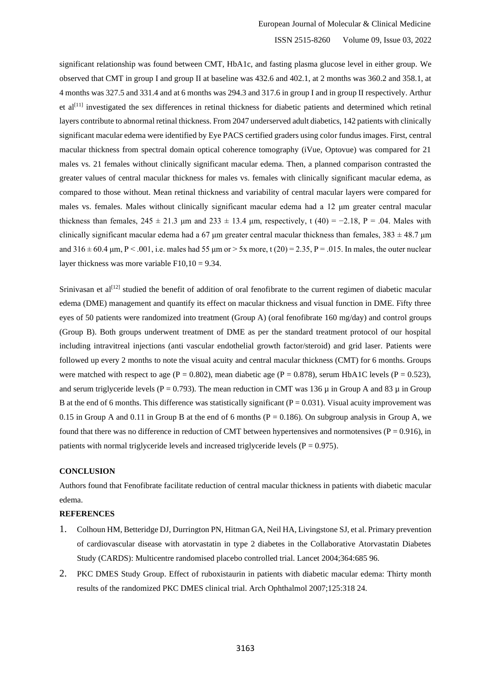## ISSN 2515-8260 Volume 09, Issue 03, 2022

significant relationship was found between CMT, HbA1c, and fasting plasma glucose level in either group. We observed that CMT in group I and group II at baseline was 432.6 and 402.1, at 2 months was 360.2 and 358.1, at 4 months was 327.5 and 331.4 and at 6 months was 294.3 and 317.6 in group I and in group II respectively. Arthur et al<sup>[11]</sup> investigated the sex differences in retinal thickness for diabetic patients and determined which retinal layers contribute to abnormal retinal thickness. From 2047 underserved adult diabetics, 142 patients with clinically significant macular edema were identified by Eye PACS certified graders using color fundus images. First, central macular thickness from spectral domain optical coherence tomography (iVue, Optovue) was compared for 21 males vs. 21 females without clinically significant macular edema. Then, a planned comparison contrasted the greater values of central macular thickness for males vs. females with clinically significant macular edema, as compared to those without. Mean retinal thickness and variability of central macular layers were compared for males vs. females. Males without clinically significant macular edema had a 12 μm greater central macular thickness than females,  $245 \pm 21.3$  µm and  $233 \pm 13.4$  µm, respectively, t (40) = -2.18, P = .04. Males with clinically significant macular edema had a 67  $\mu$ m greater central macular thickness than females, 383  $\pm$  48.7  $\mu$ m and  $316 \pm 60.4$  µm, P < .001, i.e. males had 55 µm or > 5x more, t (20) = 2.35, P = .015. In males, the outer nuclear layer thickness was more variable  $F10,10 = 9.34$ .

Srinivasan et al<sup>[12]</sup> studied the benefit of addition of oral fenofibrate to the current regimen of diabetic macular edema (DME) management and quantify its effect on macular thickness and visual function in DME. Fifty three eyes of 50 patients were randomized into treatment (Group A) (oral fenofibrate 160 mg/day) and control groups (Group B). Both groups underwent treatment of DME as per the standard treatment protocol of our hospital including intravitreal injections (anti vascular endothelial growth factor/steroid) and grid laser. Patients were followed up every 2 months to note the visual acuity and central macular thickness (CMT) for 6 months. Groups were matched with respect to age (P = 0.802), mean diabetic age (P = 0.878), serum HbA1C levels (P = 0.523), and serum triglyceride levels (P = 0.793). The mean reduction in CMT was 136  $\mu$  in Group A and 83  $\mu$  in Group B at the end of 6 months. This difference was statistically significant  $(P = 0.031)$ . Visual acuity improvement was 0.15 in Group A and 0.11 in Group B at the end of 6 months ( $P = 0.186$ ). On subgroup analysis in Group A, we found that there was no difference in reduction of CMT between hypertensives and normotensives ( $P = 0.916$ ), in patients with normal triglyceride levels and increased triglyceride levels ( $P = 0.975$ ).

#### **CONCLUSION**

Authors found that Fenofibrate facilitate reduction of central macular thickness in patients with diabetic macular edema.

#### **REFERENCES**

- 1. Colhoun HM, Betteridge DJ, Durrington PN, Hitman GA, Neil HA, Livingstone SJ, et al. Primary prevention of cardiovascular disease with atorvastatin in type 2 diabetes in the Collaborative Atorvastatin Diabetes Study (CARDS): Multicentre randomised placebo controlled trial. Lancet 2004;364:685 96.
- 2. PKC DMES Study Group. Effect of ruboxistaurin in patients with diabetic macular edema: Thirty month results of the randomized PKC DMES clinical trial. Arch Ophthalmol 2007;125:318 24.